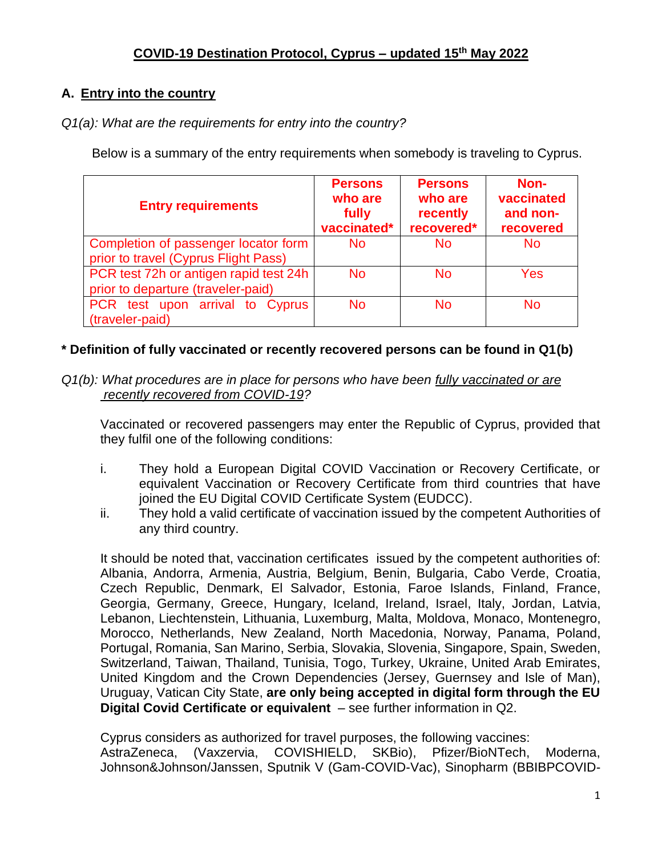# **A. Entry into the country**

*Q1(a): What are the requirements for entry into the country?*

Below is a summary of the entry requirements when somebody is traveling to Cyprus.

| <b>Entry requirements</b>                                                    | <b>Persons</b><br>who are<br>fully<br>vaccinated* | <b>Persons</b><br>who are<br>recently<br>recovered* | Non-<br>vaccinated<br>and non-<br>recovered |
|------------------------------------------------------------------------------|---------------------------------------------------|-----------------------------------------------------|---------------------------------------------|
| Completion of passenger locator form<br>prior to travel (Cyprus Flight Pass) | No.                                               | <b>No</b>                                           | <b>No</b>                                   |
| PCR test 72h or antigen rapid test 24h<br>prior to departure (traveler-paid) | No.                                               | <b>No</b>                                           | Yes                                         |
| PCR test upon arrival to Cyprus<br>(traveler-paid)                           | No                                                | No                                                  | No                                          |

## **\* Definition of fully vaccinated or recently recovered persons can be found in Q1(b)**

*Q1(b): What procedures are in place for persons who have been fully vaccinated or are recently recovered from COVID-19?*

Vaccinated or recovered passengers may enter the Republic of Cyprus, provided that they fulfil one of the following conditions:

- i. They hold a European Digital COVID Vaccination or Recovery Certificate, or equivalent Vaccination or Recovery Certificate from third countries that have joined the EU Digital COVID Certificate System (EUDCC).
- ii. They hold a valid certificate of vaccination issued by the competent Authorities of any third country.

It should be noted that, vaccination certificates issued by the competent authorities of: Albania, Andorra, Armenia, Austria, Belgium, Benin, Bulgaria, Cabo Verde, Croatia, Czech Republic, Denmark, El Salvador, Estonia, Faroe Islands, Finland, France, Georgia, Germany, Greece, Hungary, Iceland, Ireland, Israel, Italy, Jordan, Latvia, Lebanon, Liechtenstein, Lithuania, Luxemburg, Malta, Moldova, Monaco, Montenegro, Morocco, Netherlands, New Zealand, North Macedonia, Norway, Panama, Poland, Portugal, Romania, San Marino, Serbia, Slovakia, Slovenia, Singapore, Spain, Sweden, Switzerland, Taiwan, Thailand, Tunisia, Togo, Turkey, Ukraine, United Arab Emirates, United Kingdom and the Crown Dependencies (Jersey, Guernsey and Isle of Man), Uruguay, Vatican City State, **are only being accepted in digital form through the EU Digital Covid Certificate or equivalent** – see further information in Q2.

Cyprus considers as authorized for travel purposes, the following vaccines: AstraZeneca, (Vaxzervia, COVISHIELD, SKBio), Pfizer/BioNTech, Moderna, Johnson&Johnson/Janssen, Sputnik V (Gam-COVID-Vac), Sinopharm (BBIBPCOVID-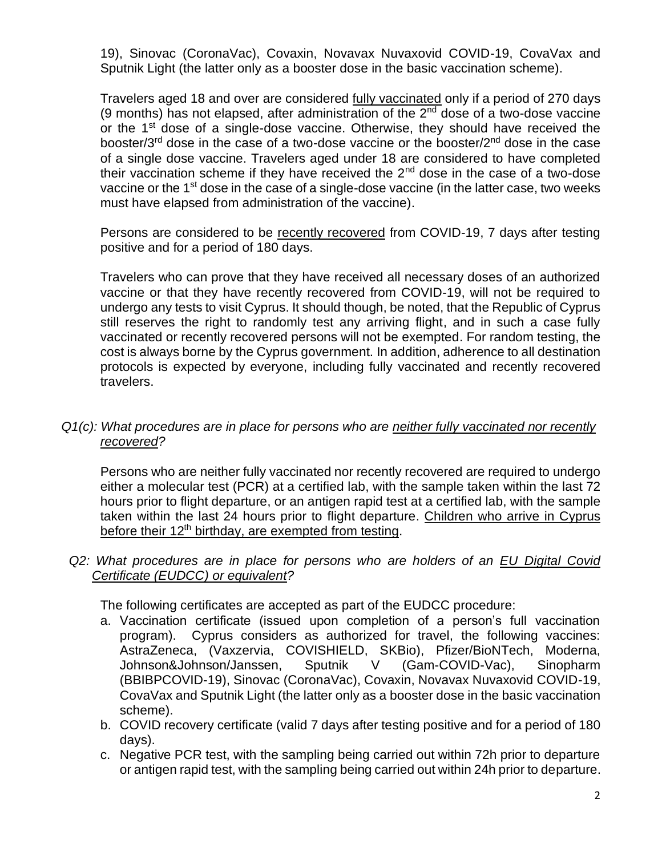19), Sinovac (CoronaVac), Covaxin, Novavax Nuvaxovid COVID-19, CovaVax and Sputnik Light (the latter only as a booster dose in the basic vaccination scheme).

Travelers aged 18 and over are considered fully vaccinated only if a period of 270 days (9 months) has not elapsed, after administration of the  $2<sup>nd</sup>$  dose of a two-dose vaccine or the 1<sup>st</sup> dose of a single-dose vaccine. Otherwise, they should have received the booster/3<sup>rd</sup> dose in the case of a two-dose vaccine or the booster/2<sup>nd</sup> dose in the case of a single dose vaccine. Travelers aged under 18 are considered to have completed their vaccination scheme if they have received the  $2<sup>nd</sup>$  dose in the case of a two-dose vaccine or the 1<sup>st</sup> dose in the case of a single-dose vaccine (in the latter case, two weeks must have elapsed from administration of the vaccine).

Persons are considered to be recently recovered from COVID-19, 7 days after testing positive and for a period of 180 days.

Travelers who can prove that they have received all necessary doses of an authorized vaccine or that they have recently recovered from COVID-19, will not be required to undergo any tests to visit Cyprus. It should though, be noted, that the Republic of Cyprus still reserves the right to randomly test any arriving flight, and in such a case fully vaccinated or recently recovered persons will not be exempted. For random testing, the cost is always borne by the Cyprus government. In addition, adherence to all destination protocols is expected by everyone, including fully vaccinated and recently recovered travelers.

*Q1(c): What procedures are in place for persons who are neither fully vaccinated nor recently recovered?*

Persons who are neither fully vaccinated nor recently recovered are required to undergo either a molecular test (PCR) at a certified lab, with the sample taken within the last 72 hours prior to flight departure, or an antigen rapid test at a certified lab, with the sample taken within the last 24 hours prior to flight departure. Children who arrive in Cyprus before their 12<sup>th</sup> birthday, are exempted from testing.

*Q2: What procedures are in place for persons who are holders of an EU Digital Covid Certificate (EUDCC) or equivalent?*

The following certificates are accepted as part of the EUDCC procedure:

- a. Vaccination certificate (issued upon completion of a person's full vaccination program). Cyprus considers as authorized for travel, the following vaccines: AstraZeneca, (Vaxzervia, COVISHIELD, SKBio), Pfizer/BioNTech, Moderna, Johnson&Johnson/Janssen, Sputnik V (Gam-COVID-Vac), Sinopharm (BBIBPCOVID-19), Sinovac (CoronaVac), Covaxin, Novavax Nuvaxovid COVID-19, CovaVax and Sputnik Light (the latter only as a booster dose in the basic vaccination scheme).
- b. COVID recovery certificate (valid 7 days after testing positive and for a period of 180 days).
- c. Negative PCR test, with the sampling being carried out within 72h prior to departure or antigen rapid test, with the sampling being carried out within 24h prior to departure.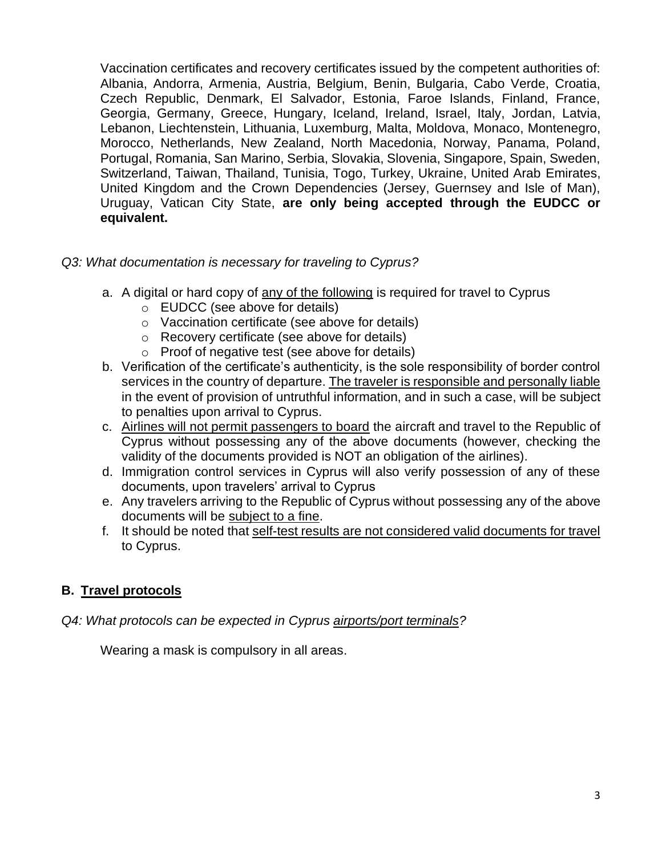Vaccination certificates and recovery certificates issued by the competent authorities of: Albania, Andorra, Armenia, Austria, Belgium, Benin, Bulgaria, Cabo Verde, Croatia, Czech Republic, Denmark, El Salvador, Estonia, Faroe Islands, Finland, France, Georgia, Germany, Greece, Hungary, Iceland, Ireland, Israel, Italy, Jordan, Latvia, Lebanon, Liechtenstein, Lithuania, Luxemburg, Malta, Moldova, Monaco, Montenegro, Morocco, Netherlands, New Zealand, North Macedonia, Norway, Panama, Poland, Portugal, Romania, San Marino, Serbia, Slovakia, Slovenia, Singapore, Spain, Sweden, Switzerland, Taiwan, Thailand, Tunisia, Togo, Turkey, Ukraine, United Arab Emirates, United Kingdom and the Crown Dependencies (Jersey, Guernsey and Isle of Man), Uruguay, Vatican City State, **are only being accepted through the EUDCC or equivalent.**

- *Q3: What documentation is necessary for traveling to Cyprus?* 
	- a. A digital or hard copy of any of the following is required for travel to Cyprus
		- o EUDCC (see above for details)
		- o Vaccination certificate (see above for details)
		- o Recovery certificate (see above for details)
		- o Proof of negative test (see above for details)
	- b. Verification of the certificate's authenticity, is the sole responsibility of border control services in the country of departure. The traveler is responsible and personally liable in the event of provision of untruthful information, and in such a case, will be subject to penalties upon arrival to Cyprus.
	- c. Airlines will not permit passengers to board the aircraft and travel to the Republic of Cyprus without possessing any of the above documents (however, checking the validity of the documents provided is NOT an obligation of the airlines).
	- d. Immigration control services in Cyprus will also verify possession of any of these documents, upon travelers' arrival to Cyprus
	- e. Any travelers arriving to the Republic of Cyprus without possessing any of the above documents will be subject to a fine.
	- f. It should be noted that self-test results are not considered valid documents for travel to Cyprus.

# **B. Travel protocols**

#### *Q4: What protocols can be expected in Cyprus airports/port terminals?*

Wearing a mask is compulsory in all areas.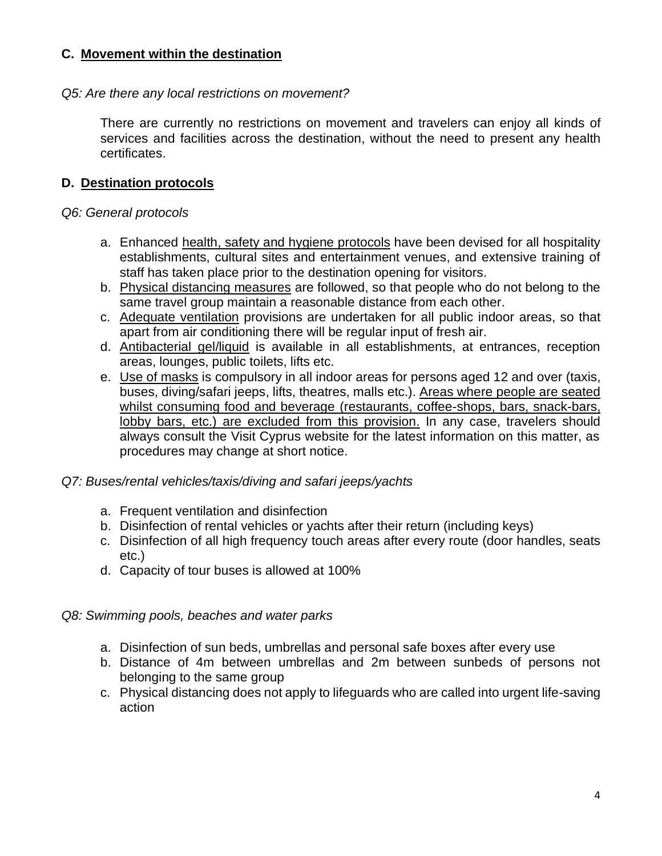## **C. Movement within the destination**

### *Q5: Are there any local restrictions on movement?*

There are currently no restrictions on movement and travelers can enjoy all kinds of services and facilities across the destination, without the need to present any health certificates.

## **D. Destination protocols**

### *Q6: General protocols*

- a. Enhanced health, safety and hygiene protocols have been devised for all hospitality establishments, cultural sites and entertainment venues, and extensive training of staff has taken place prior to the destination opening for visitors.
- b. Physical distancing measures are followed, so that people who do not belong to the same travel group maintain a reasonable distance from each other.
- c. Adequate ventilation provisions are undertaken for all public indoor areas, so that apart from air conditioning there will be regular input of fresh air.
- d. Antibacterial gel/liquid is available in all establishments, at entrances, reception areas, lounges, public toilets, lifts etc.
- e. Use of masks is compulsory in all indoor areas for persons aged 12 and over (taxis, buses, diving/safari jeeps, lifts, theatres, malls etc.). Areas where people are seated whilst consuming food and beverage (restaurants, coffee-shops, bars, snack-bars, lobby bars, etc.) are excluded from this provision. In any case, travelers should always consult the Visit Cyprus website for the latest information on this matter, as procedures may change at short notice.

#### *Q7: Buses/rental vehicles/taxis/diving and safari jeeps/yachts*

- a. Frequent ventilation and disinfection
- b. Disinfection of rental vehicles or yachts after their return (including keys)
- c. Disinfection of all high frequency touch areas after every route (door handles, seats etc.)
- d. Capacity of tour buses is allowed at 100%

## *Q8: Swimming pools, beaches and water parks*

- a. Disinfection of sun beds, umbrellas and personal safe boxes after every use
- b. Distance of 4m between umbrellas and 2m between sunbeds of persons not belonging to the same group
- c. Physical distancing does not apply to lifeguards who are called into urgent life-saving action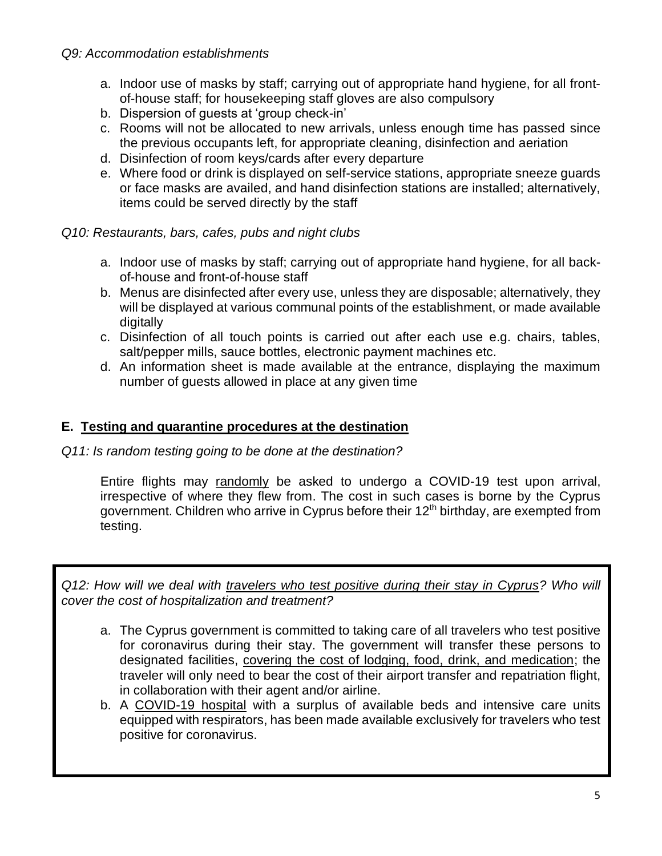#### *Q9: Accommodation establishments*

- a. Indoor use of masks by staff; carrying out of appropriate hand hygiene, for all frontof-house staff; for housekeeping staff gloves are also compulsory
- b. Dispersion of guests at 'group check-in'
- c. Rooms will not be allocated to new arrivals, unless enough time has passed since the previous occupants left, for appropriate cleaning, disinfection and aeriation
- d. Disinfection of room keys/cards after every departure
- e. Where food or drink is displayed on self-service stations, appropriate sneeze guards or face masks are availed, and hand disinfection stations are installed; alternatively, items could be served directly by the staff

#### *Q10: Restaurants, bars, cafes, pubs and night clubs*

- a. Indoor use of masks by staff; carrying out of appropriate hand hygiene, for all backof-house and front-of-house staff
- b. Menus are disinfected after every use, unless they are disposable; alternatively, they will be displayed at various communal points of the establishment, or made available digitally
- c. Disinfection of all touch points is carried out after each use e.g. chairs, tables, salt/pepper mills, sauce bottles, electronic payment machines etc.
- d. An information sheet is made available at the entrance, displaying the maximum number of guests allowed in place at any given time

### **E. Testing and quarantine procedures at the destination**

*Q11: Is random testing going to be done at the destination?*

Entire flights may randomly be asked to undergo a COVID-19 test upon arrival, irrespective of where they flew from. The cost in such cases is borne by the Cyprus government. Children who arrive in Cyprus before their 12<sup>th</sup> birthday, are exempted from testing.

*Q12: How will we deal with travelers who test positive during their stay in Cyprus? Who will cover the cost of hospitalization and treatment?*

- a. The Cyprus government is committed to taking care of all travelers who test positive for coronavirus during their stay. The government will transfer these persons to designated facilities, covering the cost of lodging, food, drink, and medication; the traveler will only need to bear the cost of their airport transfer and repatriation flight, in collaboration with their agent and/or airline.
- b. A COVID-19 hospital with a surplus of available beds and intensive care units equipped with respirators, has been made available exclusively for travelers who test positive for coronavirus.